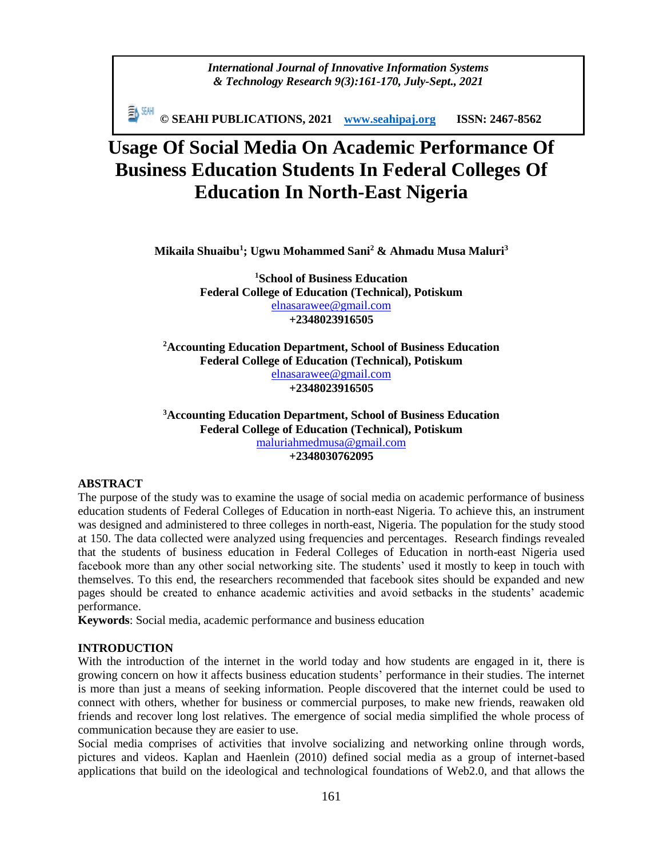*International Journal of Innovative Information Systems & Technology Research 9(3):161-170, July-Sept., 2021*

**© SEAHI PUBLICATIONS, 2021 [www.seahipaj.org](http://www.seahipaj.org/) ISSN: 2467-8562**

# **Usage Of Social Media On Academic Performance Of Business Education Students In Federal Colleges Of Education In North-East Nigeria**

**Mikaila Shuaibu<sup>1</sup> ; Ugwu Mohammed Sani<sup>2</sup> & Ahmadu Musa Maluri<sup>3</sup>**

**<sup>1</sup>School of Business Education Federal College of Education (Technical), Potiskum** [elnasarawee@gmail.com](mailto:elnasarawee@gmail.com) **+2348023916505**

**<sup>2</sup>Accounting Education Department, School of Business Education Federal College of Education (Technical), Potiskum** [elnasarawee@gmail.com](mailto:elnasarawee@gmail.com) **+2348023916505**

**<sup>3</sup>Accounting Education Department, School of Business Education Federal College of Education (Technical), Potiskum** [maluriahmedmusa@gmail.com](mailto:maluriahmedmusa@gmail.com) **+2348030762095**

## **ABSTRACT**

The purpose of the study was to examine the usage of social media on academic performance of business education students of Federal Colleges of Education in north-east Nigeria. To achieve this, an instrument was designed and administered to three colleges in north-east, Nigeria. The population for the study stood at 150. The data collected were analyzed using frequencies and percentages. Research findings revealed that the students of business education in Federal Colleges of Education in north-east Nigeria used facebook more than any other social networking site. The students' used it mostly to keep in touch with themselves. To this end, the researchers recommended that facebook sites should be expanded and new pages should be created to enhance academic activities and avoid setbacks in the students' academic performance.

**Keywords**: Social media, academic performance and business education

#### **INTRODUCTION**

With the introduction of the internet in the world today and how students are engaged in it, there is growing concern on how it affects business education students' performance in their studies. The internet is more than just a means of seeking information. People discovered that the internet could be used to connect with others, whether for business or commercial purposes, to make new friends, reawaken old friends and recover long lost relatives. The emergence of social media simplified the whole process of communication because they are easier to use.

Social media comprises of activities that involve socializing and networking online through words, pictures and videos. Kaplan and Haenlein (2010) defined social media as a group of internet-based applications that build on the ideological and technological foundations of Web2.0, and that allows the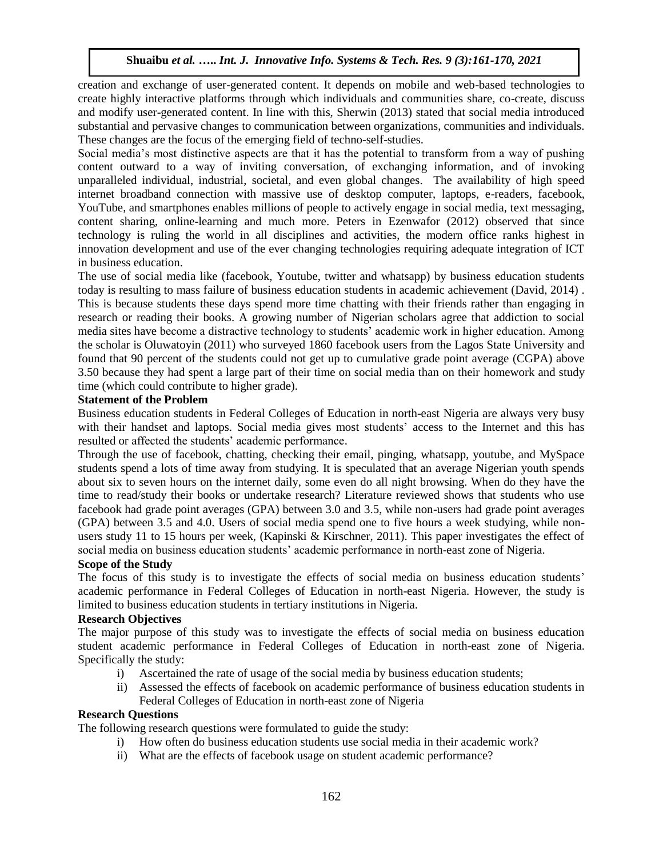creation and exchange of user-generated content. It depends on mobile and web-based technologies to create highly interactive platforms through which individuals and communities share, co-create, discuss and modify user-generated content. In line with this, Sherwin (2013) stated that social media introduced substantial and pervasive changes to communication between organizations, communities and individuals. These changes are the focus of the emerging field of techno-self-studies.

Social media's most distinctive aspects are that it has the potential to transform from a way of pushing content outward to a way of inviting conversation, of exchanging information, and of invoking unparalleled individual, industrial, societal, and even global changes. The availability of high speed internet broadband connection with massive use of desktop computer, laptops, e-readers, facebook, YouTube, and smartphones enables millions of people to actively engage in social media, text messaging, content sharing, online-learning and much more. Peters in Ezenwafor (2012) observed that since technology is ruling the world in all disciplines and activities, the modern office ranks highest in innovation development and use of the ever changing technologies requiring adequate integration of ICT in business education.

The use of social media like (facebook, Youtube, twitter and whatsapp) by business education students today is resulting to mass failure of business education students in academic achievement (David, 2014) . This is because students these days spend more time chatting with their friends rather than engaging in research or reading their books. A growing number of Nigerian scholars agree that addiction to social media sites have become a distractive technology to students' academic work in higher education. Among the scholar is Oluwatoyin (2011) who surveyed 1860 facebook users from the Lagos State University and found that 90 percent of the students could not get up to cumulative grade point average (CGPA) above 3.50 because they had spent a large part of their time on social media than on their homework and study time (which could contribute to higher grade).

#### **Statement of the Problem**

Business education students in Federal Colleges of Education in north-east Nigeria are always very busy with their handset and laptops. Social media gives most students' access to the Internet and this has resulted or affected the students' academic performance.

Through the use of facebook, chatting, checking their email, pinging, whatsapp, youtube, and MySpace students spend a lots of time away from studying. It is speculated that an average Nigerian youth spends about six to seven hours on the internet daily, some even do all night browsing. When do they have the time to read/study their books or undertake research? Literature reviewed shows that students who use facebook had grade point averages (GPA) between 3.0 and 3.5, while non-users had grade point averages (GPA) between 3.5 and 4.0. Users of social media spend one to five hours a week studying, while nonusers study 11 to 15 hours per week, (Kapinski & Kirschner, 2011). This paper investigates the effect of social media on business education students' academic performance in north-east zone of Nigeria.

#### **Scope of the Study**

The focus of this study is to investigate the effects of social media on business education students' academic performance in Federal Colleges of Education in north-east Nigeria. However, the study is limited to business education students in tertiary institutions in Nigeria.

## **Research Objectives**

The major purpose of this study was to investigate the effects of social media on business education student academic performance in Federal Colleges of Education in north-east zone of Nigeria. Specifically the study:

- i) Ascertained the rate of usage of the social media by business education students;
- ii) Assessed the effects of facebook on academic performance of business education students in Federal Colleges of Education in north-east zone of Nigeria

## **Research Questions**

The following research questions were formulated to guide the study:

- i) How often do business education students use social media in their academic work?
- ii) What are the effects of facebook usage on student academic performance?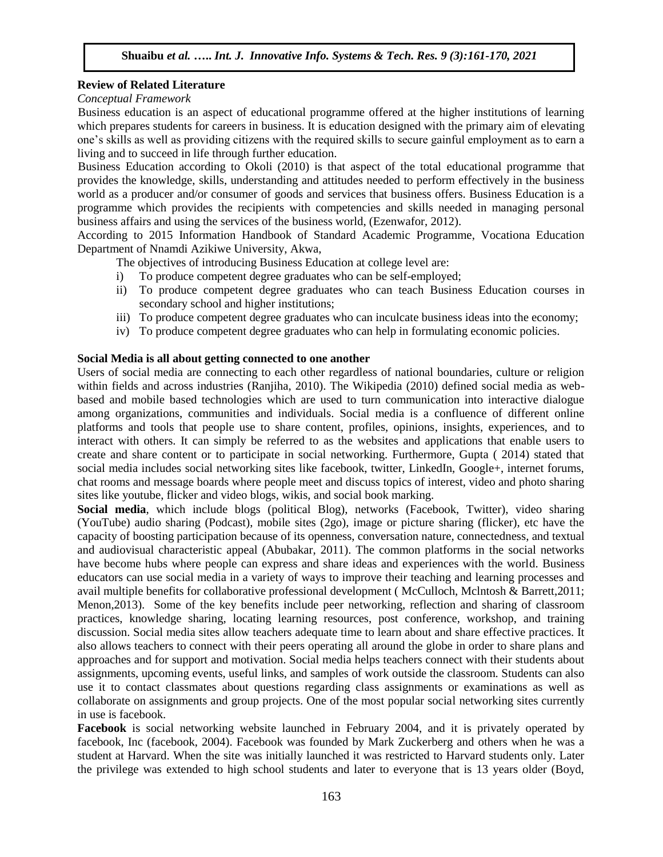## **Review of Related Literature**

*Conceptual Framework* 

Business education is an aspect of educational programme offered at the higher institutions of learning which prepares students for careers in business. It is education designed with the primary aim of elevating one's skills as well as providing citizens with the required skills to secure gainful employment as to earn a living and to succeed in life through further education.

Business Education according to Okoli (2010) is that aspect of the total educational programme that provides the knowledge, skills, understanding and attitudes needed to perform effectively in the business world as a producer and/or consumer of goods and services that business offers. Business Education is a programme which provides the recipients with competencies and skills needed in managing personal business affairs and using the services of the business world, (Ezenwafor, 2012).

According to 2015 Information Handbook of Standard Academic Programme, Vocationa Education Department of Nnamdi Azikiwe University, Akwa,

The objectives of introducing Business Education at college level are:

- i) To produce competent degree graduates who can be self-employed;
- ii) To produce competent degree graduates who can teach Business Education courses in secondary school and higher institutions;
- iii) To produce competent degree graduates who can inculcate business ideas into the economy;
- iv) To produce competent degree graduates who can help in formulating economic policies.

#### **Social Media is all about getting connected to one another**

Users of social media are connecting to each other regardless of national boundaries, culture or religion within fields and across industries (Ranjiha, 2010). The Wikipedia (2010) defined social media as webbased and mobile based technologies which are used to turn communication into interactive dialogue among organizations, communities and individuals. Social media is a confluence of different online platforms and tools that people use to share content, profiles, opinions, insights, experiences, and to interact with others. It can simply be referred to as the websites and applications that enable users to create and share content or to participate in social networking. Furthermore, Gupta ( 2014) stated that social media includes social networking sites like facebook, twitter, LinkedIn, Google+, internet forums, chat rooms and message boards where people meet and discuss topics of interest, video and photo sharing sites like youtube, flicker and video blogs, wikis, and social book marking.

**Social media**, which include blogs (political Blog), networks (Facebook, Twitter), video sharing (YouTube) audio sharing (Podcast), mobile sites (2go), image or picture sharing (flicker), etc have the capacity of boosting participation because of its openness, conversation nature, connectedness, and textual and audiovisual characteristic appeal (Abubakar, 2011). The common platforms in the social networks have become hubs where people can express and share ideas and experiences with the world. Business educators can use social media in a variety of ways to improve their teaching and learning processes and avail multiple benefits for collaborative professional development ( McCulloch, Mclntosh & Barrett,2011; Menon,2013). Some of the key benefits include peer networking, reflection and sharing of classroom practices, knowledge sharing, locating learning resources, post conference, workshop, and training discussion. Social media sites allow teachers adequate time to learn about and share effective practices. It also allows teachers to connect with their peers operating all around the globe in order to share plans and approaches and for support and motivation. Social media helps teachers connect with their students about assignments, upcoming events, useful links, and samples of work outside the classroom. Students can also use it to contact classmates about questions regarding class assignments or examinations as well as collaborate on assignments and group projects. One of the most popular social networking sites currently in use is facebook.

**Facebook** is social networking website launched in February 2004, and it is privately operated by facebook, Inc (facebook, 2004). Facebook was founded by Mark Zuckerberg and others when he was a student at Harvard. When the site was initially launched it was restricted to Harvard students only. Later the privilege was extended to high school students and later to everyone that is 13 years older (Boyd,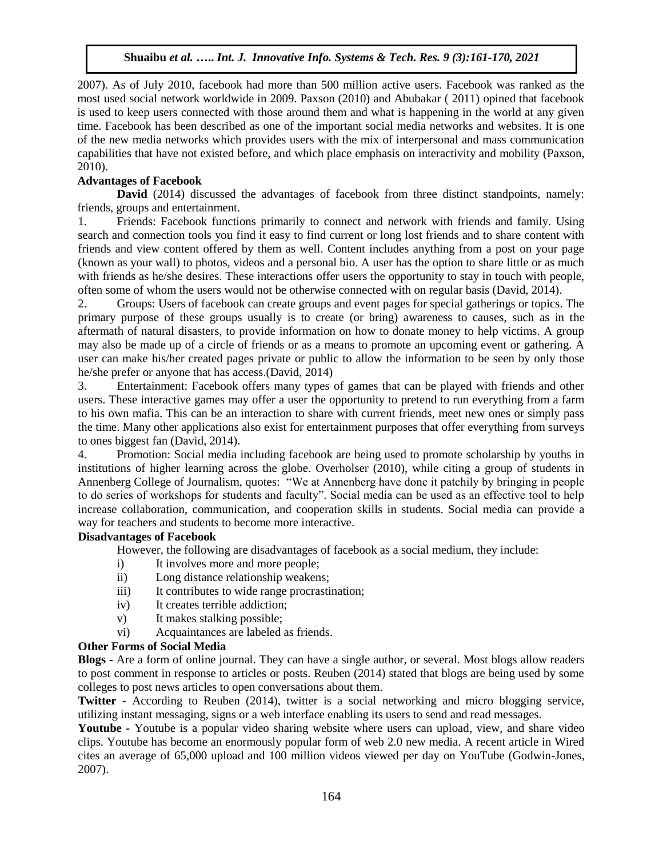2007). As of July 2010, facebook had more than 500 million active users. Facebook was ranked as the most used social network worldwide in 2009. Paxson (2010) and Abubakar ( 2011) opined that facebook is used to keep users connected with those around them and what is happening in the world at any given time. Facebook has been described as one of the important social media networks and websites. It is one of the new media networks which provides users with the mix of interpersonal and mass communication capabilities that have not existed before, and which place emphasis on interactivity and mobility (Paxson, 2010).

# **Advantages of Facebook**

**David** (2014) discussed the advantages of facebook from three distinct standpoints, namely: friends, groups and entertainment.

1. Friends: Facebook functions primarily to connect and network with friends and family. Using search and connection tools you find it easy to find current or long lost friends and to share content with friends and view content offered by them as well. Content includes anything from a post on your page (known as your wall) to photos, videos and a personal bio. A user has the option to share little or as much with friends as he/she desires. These interactions offer users the opportunity to stay in touch with people, often some of whom the users would not be otherwise connected with on regular basis (David, 2014).

2. Groups: Users of facebook can create groups and event pages for special gatherings or topics. The primary purpose of these groups usually is to create (or bring) awareness to causes, such as in the aftermath of natural disasters, to provide information on how to donate money to help victims. A group may also be made up of a circle of friends or as a means to promote an upcoming event or gathering. A user can make his/her created pages private or public to allow the information to be seen by only those he/she prefer or anyone that has access.(David, 2014)

3. Entertainment: Facebook offers many types of games that can be played with friends and other users. These interactive games may offer a user the opportunity to pretend to run everything from a farm to his own mafia. This can be an interaction to share with current friends, meet new ones or simply pass the time. Many other applications also exist for entertainment purposes that offer everything from surveys to ones biggest fan (David, 2014).

4. Promotion: Social media including facebook are being used to promote scholarship by youths in institutions of higher learning across the globe. Overholser (2010), while citing a group of students in Annenberg College of Journalism, quotes: "We at Annenberg have done it patchily by bringing in people to do series of workshops for students and faculty". Social media can be used as an effective tool to help increase collaboration, communication, and cooperation skills in students. Social media can provide a way for teachers and students to become more interactive.

# **Disadvantages of Facebook**

However, the following are disadvantages of facebook as a social medium, they include:

- i) It involves more and more people;
- ii) Long distance relationship weakens;
- iii) It contributes to wide range procrastination;
- iv) It creates terrible addiction;
- v) It makes stalking possible;
- vi) Acquaintances are labeled as friends.

## **Other Forms of Social Media**

**Blogs -** Are a form of online journal. They can have a single author, or several. Most blogs allow readers to post comment in response to articles or posts. Reuben (2014) stated that blogs are being used by some colleges to post news articles to open conversations about them.

**Twitter -** According to Reuben (2014), twitter is a social networking and micro blogging service, utilizing instant messaging, signs or a web interface enabling its users to send and read messages.

**Youtube -** Youtube is a popular video sharing website where users can upload, view, and share video clips. Youtube has become an enormously popular form of web 2.0 new media. A recent article in Wired cites an average of 65,000 upload and 100 million videos viewed per day on YouTube (Godwin-Jones, 2007).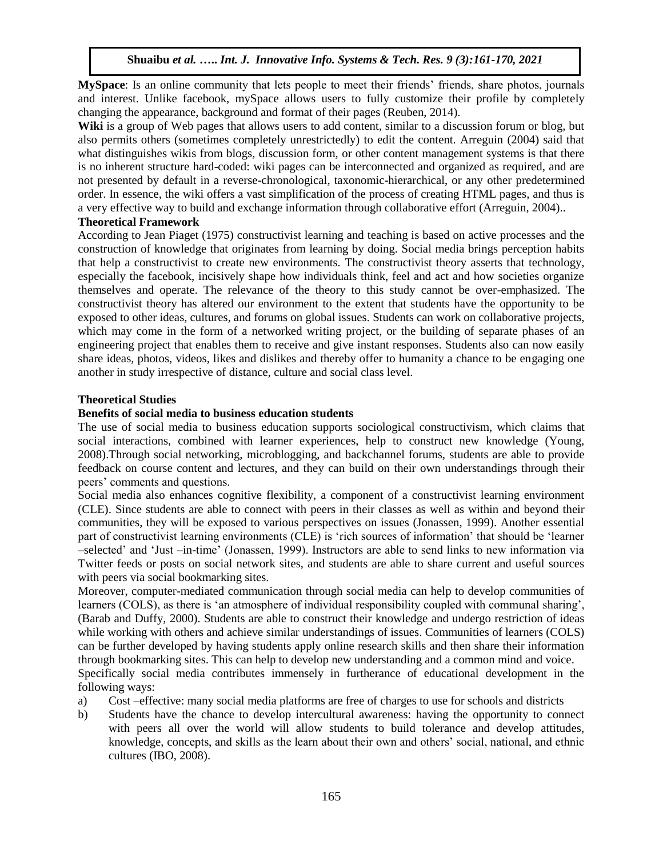**MySpace**: Is an online community that lets people to meet their friends' friends, share photos, journals and interest. Unlike facebook, mySpace allows users to fully customize their profile by completely changing the appearance, background and format of their pages (Reuben, 2014).

Wiki is a group of Web pages that allows users to add content, similar to a discussion forum or blog, but also permits others (sometimes completely unrestrictedly) to edit the content. Arreguin (2004) said that what distinguishes wikis from blogs, discussion form, or other content management systems is that there is no inherent structure hard-coded: wiki pages can be interconnected and organized as required, and are not presented by default in a reverse-chronological, taxonomic-hierarchical, or any other predetermined order. In essence, the wiki offers a vast simplification of the process of creating HTML pages, and thus is a very effective way to build and exchange information through collaborative effort (Arreguin, 2004)..

## **Theoretical Framework**

According to Jean Piaget (1975) constructivist learning and teaching is based on active processes and the construction of knowledge that originates from learning by doing. Social media brings perception habits that help a constructivist to create new environments. The constructivist theory asserts that technology, especially the facebook, incisively shape how individuals think, feel and act and how societies organize themselves and operate. The relevance of the theory to this study cannot be over-emphasized. The constructivist theory has altered our environment to the extent that students have the opportunity to be exposed to other ideas, cultures, and forums on global issues. Students can work on collaborative projects, which may come in the form of a networked writing project, or the building of separate phases of an engineering project that enables them to receive and give instant responses. Students also can now easily share ideas, photos, videos, likes and dislikes and thereby offer to humanity a chance to be engaging one another in study irrespective of distance, culture and social class level.

#### **Theoretical Studies**

## **Benefits of social media to business education students**

The use of social media to business education supports sociological constructivism, which claims that social interactions, combined with learner experiences, help to construct new knowledge (Young, 2008).Through social networking, microblogging, and backchannel forums, students are able to provide feedback on course content and lectures, and they can build on their own understandings through their peers' comments and questions.

Social media also enhances cognitive flexibility, a component of a constructivist learning environment (CLE). Since students are able to connect with peers in their classes as well as within and beyond their communities, they will be exposed to various perspectives on issues (Jonassen, 1999). Another essential part of constructivist learning environments (CLE) is 'rich sources of information' that should be 'learner –selected' and 'Just –in-time' (Jonassen, 1999). Instructors are able to send links to new information via Twitter feeds or posts on social network sites, and students are able to share current and useful sources with peers via social bookmarking sites.

Moreover, computer-mediated communication through social media can help to develop communities of learners (COLS), as there is 'an atmosphere of individual responsibility coupled with communal sharing', (Barab and Duffy, 2000). Students are able to construct their knowledge and undergo restriction of ideas while working with others and achieve similar understandings of issues. Communities of learners (COLS) can be further developed by having students apply online research skills and then share their information through bookmarking sites. This can help to develop new understanding and a common mind and voice. Specifically social media contributes immensely in furtherance of educational development in the following ways:

- a) Cost –effective: many social media platforms are free of charges to use for schools and districts
- b) Students have the chance to develop intercultural awareness: having the opportunity to connect with peers all over the world will allow students to build tolerance and develop attitudes, knowledge, concepts, and skills as the learn about their own and others' social, national, and ethnic cultures (IBO, 2008).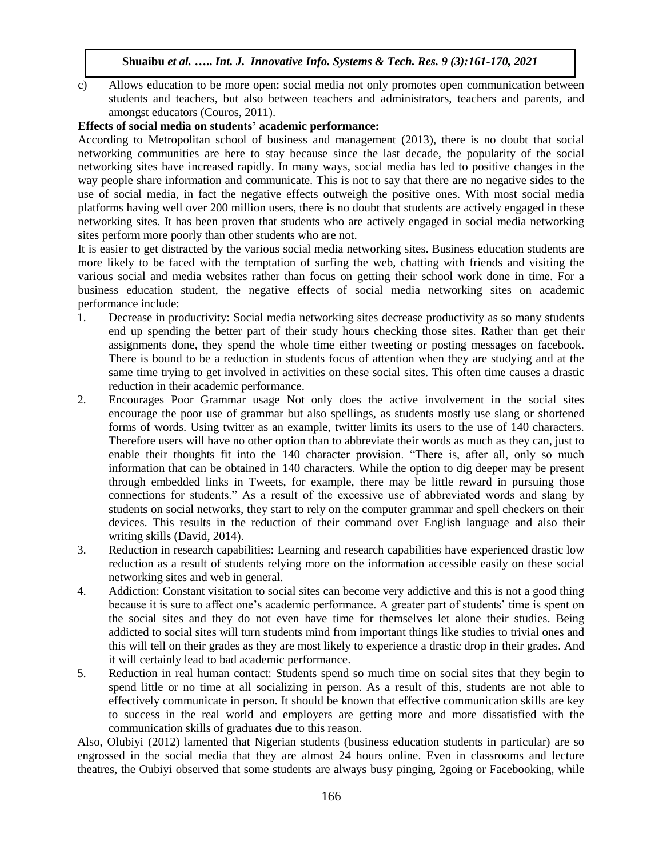c) Allows education to be more open: social media not only promotes open communication between students and teachers, but also between teachers and administrators, teachers and parents, and amongst educators (Couros, 2011).

## **Effects of social media on students' academic performance:**

According to Metropolitan school of business and management (2013), there is no doubt that social networking communities are here to stay because since the last decade, the popularity of the social networking sites have increased rapidly. In many ways, social media has led to positive changes in the way people share information and communicate. This is not to say that there are no negative sides to the use of social media, in fact the negative effects outweigh the positive ones. With most social media platforms having well over 200 million users, there is no doubt that students are actively engaged in these networking sites. It has been proven that students who are actively engaged in social media networking sites perform more poorly than other students who are not.

It is easier to get distracted by the various social media networking sites. Business education students are more likely to be faced with the temptation of surfing the web, chatting with friends and visiting the various social and media websites rather than focus on getting their school work done in time. For a business education student, the negative effects of social media networking sites on academic performance include:

- 1. Decrease in productivity: Social media networking sites decrease productivity as so many students end up spending the better part of their study hours checking those sites. Rather than get their assignments done, they spend the whole time either tweeting or posting messages on facebook. There is bound to be a reduction in students focus of attention when they are studying and at the same time trying to get involved in activities on these social sites. This often time causes a drastic reduction in their academic performance.
- 2. Encourages Poor Grammar usage Not only does the active involvement in the social sites encourage the poor use of grammar but also spellings, as students mostly use slang or shortened forms of words. Using twitter as an example, twitter limits its users to the use of 140 characters. Therefore users will have no other option than to abbreviate their words as much as they can, just to enable their thoughts fit into the 140 character provision. "There is, after all, only so much information that can be obtained in 140 characters. While the option to dig deeper may be present through embedded links in Tweets, for example, there may be little reward in pursuing those connections for students." As a result of the excessive use of abbreviated words and slang by students on social networks, they start to rely on the computer grammar and spell checkers on their devices. This results in the reduction of their command over English language and also their writing skills (David, 2014).
- 3. Reduction in research capabilities: Learning and research capabilities have experienced drastic low reduction as a result of students relying more on the information accessible easily on these social networking sites and web in general.
- 4. Addiction: Constant visitation to social sites can become very addictive and this is not a good thing because it is sure to affect one's academic performance. A greater part of students' time is spent on the social sites and they do not even have time for themselves let alone their studies. Being addicted to social sites will turn students mind from important things like studies to trivial ones and this will tell on their grades as they are most likely to experience a drastic drop in their grades. And it will certainly lead to bad academic performance.
- 5. Reduction in real human contact: Students spend so much time on social sites that they begin to spend little or no time at all socializing in person. As a result of this, students are not able to effectively communicate in person. It should be known that effective communication skills are key to success in the real world and employers are getting more and more dissatisfied with the communication skills of graduates due to this reason.

Also, Olubiyi (2012) lamented that Nigerian students (business education students in particular) are so engrossed in the social media that they are almost 24 hours online. Even in classrooms and lecture theatres, the Oubiyi observed that some students are always busy pinging, 2going or Facebooking, while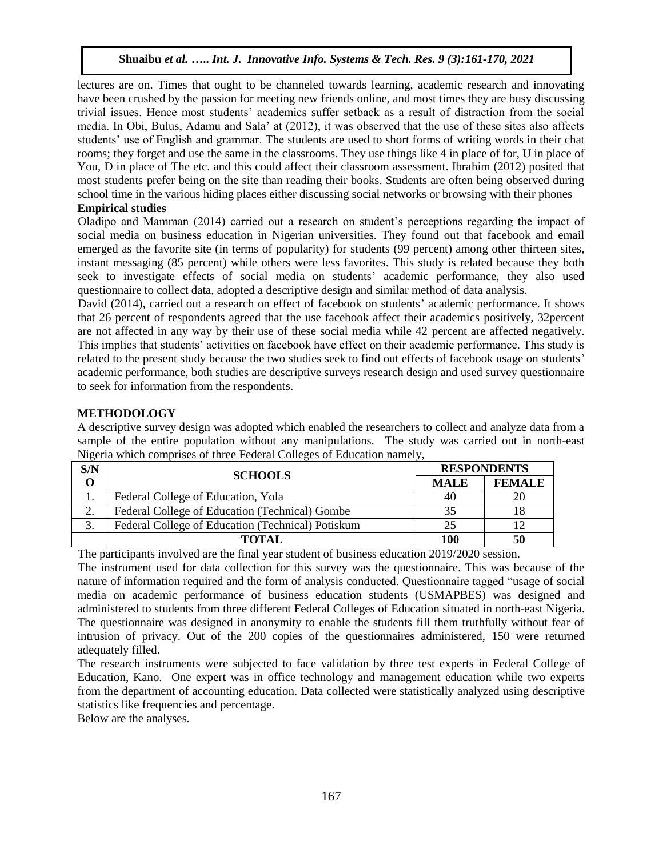lectures are on. Times that ought to be channeled towards learning, academic research and innovating have been crushed by the passion for meeting new friends online, and most times they are busy discussing trivial issues. Hence most students' academics suffer setback as a result of distraction from the social media. In Obi, Bulus, Adamu and Sala' at (2012), it was observed that the use of these sites also affects students' use of English and grammar. The students are used to short forms of writing words in their chat rooms; they forget and use the same in the classrooms. They use things like 4 in place of for, U in place of You, D in place of The etc. and this could affect their classroom assessment. Ibrahim (2012) posited that most students prefer being on the site than reading their books. Students are often being observed during school time in the various hiding places either discussing social networks or browsing with their phones

# **Empirical studies**

Oladipo and Mamman (2014) carried out a research on student's perceptions regarding the impact of social media on business education in Nigerian universities. They found out that facebook and email emerged as the favorite site (in terms of popularity) for students (99 percent) among other thirteen sites, instant messaging (85 percent) while others were less favorites. This study is related because they both seek to investigate effects of social media on students' academic performance, they also used questionnaire to collect data, adopted a descriptive design and similar method of data analysis.

David (2014), carried out a research on effect of facebook on students' academic performance. It shows that 26 percent of respondents agreed that the use facebook affect their academics positively, 32percent are not affected in any way by their use of these social media while 42 percent are affected negatively. This implies that students' activities on facebook have effect on their academic performance. This study is related to the present study because the two studies seek to find out effects of facebook usage on students' academic performance, both studies are descriptive surveys research design and used survey questionnaire to seek for information from the respondents.

## **METHODOLOGY**

A descriptive survey design was adopted which enabled the researchers to collect and analyze data from a sample of the entire population without any manipulations. The study was carried out in north-east Nigeria which comprises of three Federal Colleges of Education namely,

| S/N            | <b>SCHOOLS</b>                                    | <b>RESPONDENTS</b> |               |
|----------------|---------------------------------------------------|--------------------|---------------|
|                |                                                   | <b>MALE</b>        | <b>FEMALE</b> |
|                | Federal College of Education, Yola                | 40                 |               |
| $\gamma$<br>۷. | Federal College of Education (Technical) Gombe    | 35                 |               |
|                | Federal College of Education (Technical) Potiskum | 25                 |               |
|                | ТОТАІ                                             | <b>100</b>         | 50            |

The participants involved are the final year student of business education 2019/2020 session.

The instrument used for data collection for this survey was the questionnaire. This was because of the nature of information required and the form of analysis conducted. Questionnaire tagged "usage of social media on academic performance of business education students (USMAPBES) was designed and administered to students from three different Federal Colleges of Education situated in north-east Nigeria. The questionnaire was designed in anonymity to enable the students fill them truthfully without fear of intrusion of privacy. Out of the 200 copies of the questionnaires administered, 150 were returned adequately filled.

The research instruments were subjected to face validation by three test experts in Federal College of Education, Kano. One expert was in office technology and management education while two experts from the department of accounting education. Data collected were statistically analyzed using descriptive statistics like frequencies and percentage.

Below are the analyses.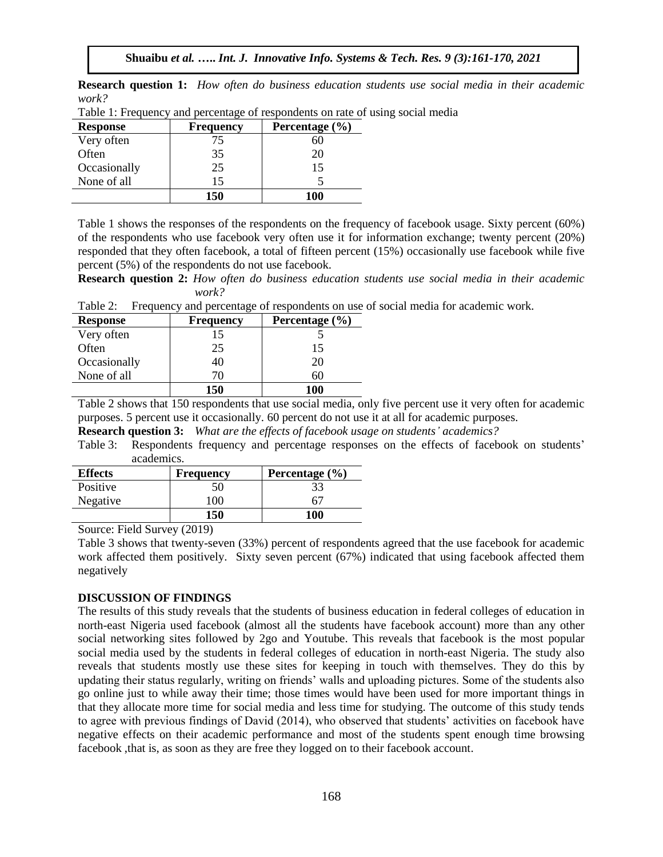**Research question 1:** *How often do business education students use social media in their academic work?* 

| <b>Response</b> | <b>Frequency</b> | Percentage $(\% )$ |
|-----------------|------------------|--------------------|
| Very often      |                  | 60                 |
| Often           | 35               | 20                 |
| Occasionally    | 25               | 15                 |
| None of all     |                  |                    |
|                 | 150              | 100                |

Table 1: Frequency and percentage of respondents on rate of using social media

Table 1 shows the responses of the respondents on the frequency of facebook usage. Sixty percent (60%) of the respondents who use facebook very often use it for information exchange; twenty percent (20%) responded that they often facebook, a total of fifteen percent (15%) occasionally use facebook while five percent (5%) of the respondents do not use facebook.

**Research question 2:** *How often do business education students use social media in their academic work?* 

Table 2: Frequency and percentage of respondents on use of social media for academic work.

| <b>Response</b> | <b>Frequency</b> | Percentage $(\% )$ |
|-----------------|------------------|--------------------|
| Very often      |                  |                    |
| Often           | 25               | 15                 |
| Occasionally    | 40               | 20                 |
| None of all     | 70               | 61                 |
|                 | 150              | 100                |

Table 2 shows that 150 respondents that use social media, only five percent use it very often for academic purposes. 5 percent use it occasionally. 60 percent do not use it at all for academic purposes.

**Research question 3:** *What are the effects of facebook usage on students' academics?* 

Table 3: Respondents frequency and percentage responses on the effects of facebook on students' academics.

| <b>Effects</b> | Frequency | Percentage $(\% )$ |
|----------------|-----------|--------------------|
| Positive       | 50        | 33                 |
| Negative       | 100       |                    |
|                | 150       | 100                |

Source: Field Survey (2019)

Table 3 shows that twenty-seven (33%) percent of respondents agreed that the use facebook for academic work affected them positively. Sixty seven percent (67%) indicated that using facebook affected them negatively

#### **DISCUSSION OF FINDINGS**

The results of this study reveals that the students of business education in federal colleges of education in north-east Nigeria used facebook (almost all the students have facebook account) more than any other social networking sites followed by 2go and Youtube. This reveals that facebook is the most popular social media used by the students in federal colleges of education in north-east Nigeria. The study also reveals that students mostly use these sites for keeping in touch with themselves. They do this by updating their status regularly, writing on friends' walls and uploading pictures. Some of the students also go online just to while away their time; those times would have been used for more important things in that they allocate more time for social media and less time for studying. The outcome of this study tends to agree with previous findings of David (2014), who observed that students' activities on facebook have negative effects on their academic performance and most of the students spent enough time browsing facebook ,that is, as soon as they are free they logged on to their facebook account.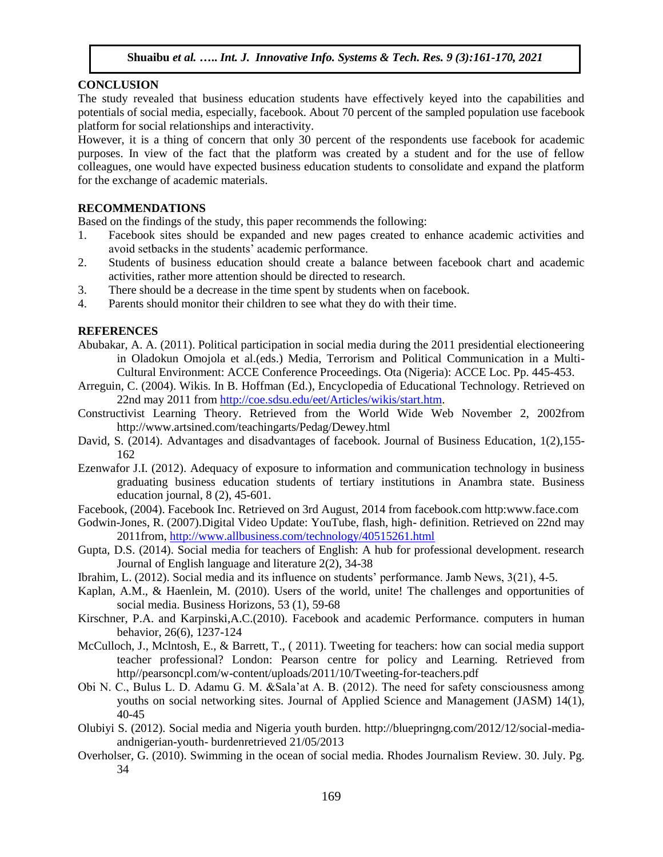#### **CONCLUSION**

The study revealed that business education students have effectively keyed into the capabilities and potentials of social media, especially, facebook. About 70 percent of the sampled population use facebook platform for social relationships and interactivity.

However, it is a thing of concern that only 30 percent of the respondents use facebook for academic purposes. In view of the fact that the platform was created by a student and for the use of fellow colleagues, one would have expected business education students to consolidate and expand the platform for the exchange of academic materials.

#### **RECOMMENDATIONS**

Based on the findings of the study, this paper recommends the following:

- 1. Facebook sites should be expanded and new pages created to enhance academic activities and avoid setbacks in the students' academic performance.
- 2. Students of business education should create a balance between facebook chart and academic activities, rather more attention should be directed to research.
- 3. There should be a decrease in the time spent by students when on facebook.
- 4. Parents should monitor their children to see what they do with their time.

#### **REFERENCES**

- Abubakar, A. A. (2011). Political participation in social media during the 2011 presidential electioneering in Oladokun Omojola et al.(eds.) Media, Terrorism and Political Communication in a Multi-Cultural Environment: ACCE Conference Proceedings. Ota (Nigeria): ACCE Loc. Pp. 445-453.
- Arreguin, C. (2004). Wikis. In B. Hoffman (Ed.), Encyclopedia of Educational Technology. Retrieved on 22nd may 2011 from [http://coe.sdsu.edu/eet/Articles/wikis/start.htm.](http://coe.sdsu.edu/eet/Articles/wikis/start.htm)
- Constructivist Learning Theory. Retrieved from the World Wide Web November 2, 2002from http://www.artsined.com/teachingarts/Pedag/Dewey.html
- David, S. (2014). Advantages and disadvantages of facebook. Journal of Business Education, 1(2),155- 162
- Ezenwafor J.I. (2012). Adequacy of exposure to information and communication technology in business graduating business education students of tertiary institutions in Anambra state. Business education journal, 8 (2), 45-601.
- Facebook, (2004). Facebook Inc. Retrieved on 3rd August, 2014 from facebook.com http:www.face.com
- Godwin-Jones, R. (2007).Digital Video Update: YouTube, flash, high- definition. Retrieved on 22nd may 2011from,<http://www.allbusiness.com/technology/40515261.html>
- Gupta, D.S. (2014). Social media for teachers of English: A hub for professional development. research Journal of English language and literature 2(2), 34-38
- Ibrahim, L. (2012). Social media and its influence on students' performance. Jamb News, 3(21), 4-5.
- Kaplan, A.M., & Haenlein, M. (2010). Users of the world, unite! The challenges and opportunities of social media. Business Horizons, 53 (1), 59-68
- Kirschner, P.A. and Karpinski,A.C.(2010). Facebook and academic Performance. computers in human behavior, 26(6), 1237-124
- McCulloch, J., Mclntosh, E., & Barrett, T., ( 2011). Tweeting for teachers: how can social media support teacher professional? London: Pearson centre for policy and Learning. Retrieved from http//pearsoncpl.com/w-content/uploads/2011/10/Tweeting-for-teachers.pdf
- Obi N. C., Bulus L. D. Adamu G. M. &Sala'at A. B. (2012). The need for safety consciousness among youths on social networking sites. Journal of Applied Science and Management (JASM) 14(1), 40-45
- Olubiyi S. (2012). Social media and Nigeria youth burden. http://bluepringng.com/2012/12/social-mediaandnigerian-youth- burdenretrieved 21/05/2013
- Overholser, G. (2010). Swimming in the ocean of social media. Rhodes Journalism Review. 30. July. Pg. 34